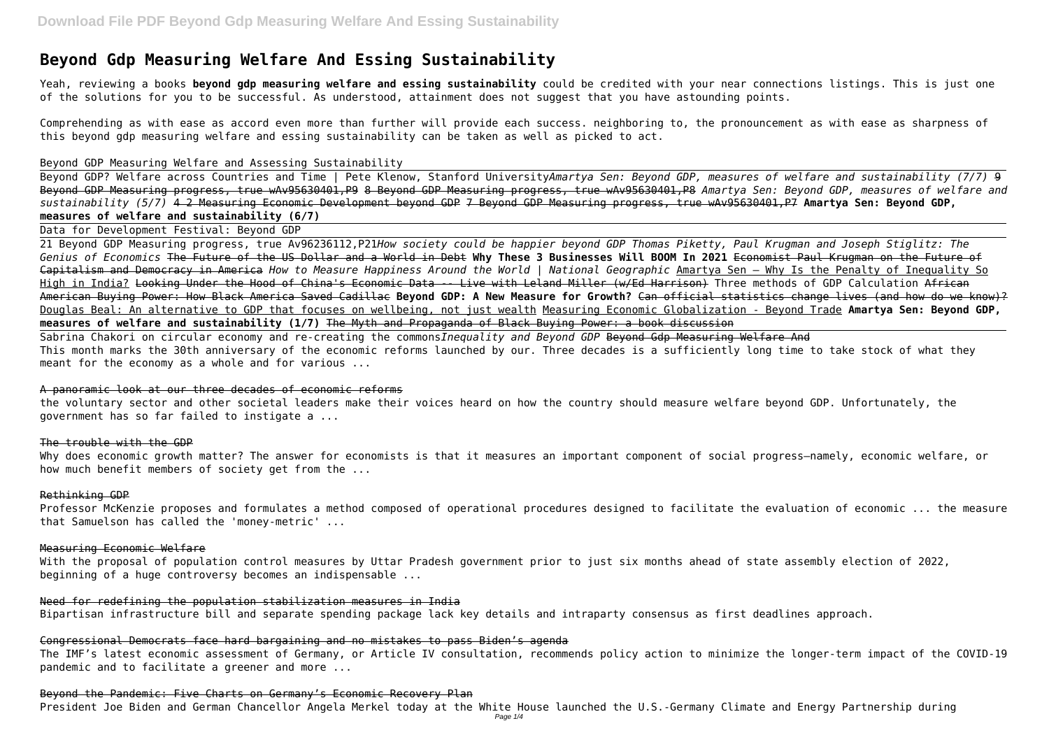# **Beyond Gdp Measuring Welfare And Essing Sustainability**

Yeah, reviewing a books **beyond gdp measuring welfare and essing sustainability** could be credited with your near connections listings. This is just one of the solutions for you to be successful. As understood, attainment does not suggest that you have astounding points.

Comprehending as with ease as accord even more than further will provide each success. neighboring to, the pronouncement as with ease as sharpness of this beyond gdp measuring welfare and essing sustainability can be taken as well as picked to act.

Beyond GDP Measuring Welfare and Assessing Sustainability

Beyond GDP? Welfare across Countries and Time | Pete Klenow, Stanford University*Amartya Sen: Beyond GDP, measures of welfare and sustainability (7/7)* 9 Beyond GDP Measuring progress, true wAv95630401,P9 8 Beyond GDP Measuring progress, true wAv95630401,P8 *Amartya Sen: Beyond GDP, measures of welfare and sustainability (5/7)* 4 2 Measuring Economic Development beyond GDP 7 Beyond GDP Measuring progress, true wAv95630401,P7 **Amartya Sen: Beyond GDP, measures of welfare and sustainability (6/7)**

Data for Development Festival: Beyond GDP

21 Beyond GDP Measuring progress, true Av96236112,P21*How society could be happier beyond GDP Thomas Piketty, Paul Krugman and Joseph Stiglitz: The Genius of Economics* The Future of the US Dollar and a World in Debt **Why These 3 Businesses Will BOOM In 2021** Economist Paul Krugman on the Future of Capitalism and Democracy in America *How to Measure Happiness Around the World | National Geographic* Amartya Sen — Why Is the Penalty of Inequality So High in India? Looking Under the Hood of China's Economic Data -- Live with Leland Miller (w/Ed Harrison) Three methods of GDP Calculation African American Buying Power: How Black America Saved Cadillac **Beyond GDP: A New Measure for Growth?** Can official statistics change lives (and how do we know)? Douglas Beal: An alternative to GDP that focuses on wellbeing, not just wealth Measuring Economic Globalization - Beyond Trade **Amartya Sen: Beyond GDP, measures of welfare and sustainability (1/7)** The Myth and Propaganda of Black Buying Power: a book discussion

Sabrina Chakori on circular economy and re-creating the commons*Inequality and Beyond GDP* Beyond Gdp Measuring Welfare And This month marks the 30th anniversary of the economic reforms launched by our. Three decades is a sufficiently long time to take stock of what they meant for the economy as a whole and for various ...

#### A panoramic look at our three decades of economic reforms

the voluntary sector and other societal leaders make their voices heard on how the country should measure welfare beyond GDP. Unfortunately, the government has so far failed to instigate a ...

#### The trouble with the GDP

Why does economic growth matter? The answer for economists is that it measures an important component of social progress—namely, economic welfare, or how much benefit members of society get from the ...

#### Rethinking GDP

Professor McKenzie proposes and formulates a method composed of operational procedures designed to facilitate the evaluation of economic ... the measure that Samuelson has called the 'money-metric' ...

### Measuring Economic Welfare

With the proposal of population control measures by Uttar Pradesh government prior to just six months ahead of state assembly election of 2022, beginning of a huge controversy becomes an indispensable ...

#### Need for redefining the population stabilization measures in India

Bipartisan infrastructure bill and separate spending package lack key details and intraparty consensus as first deadlines approach.

#### Congressional Democrats face hard bargaining and no mistakes to pass Biden's agenda

The IMF's latest economic assessment of Germany, or Article IV consultation, recommends policy action to minimize the longer-term impact of the COVID-19 pandemic and to facilitate a greener and more ...

#### Beyond the Pandemic: Five Charts on Germany's Economic Recovery Plan

President Joe Biden and German Chancellor Angela Merkel today at the White House launched the U.S.-Germany Climate and Energy Partnership during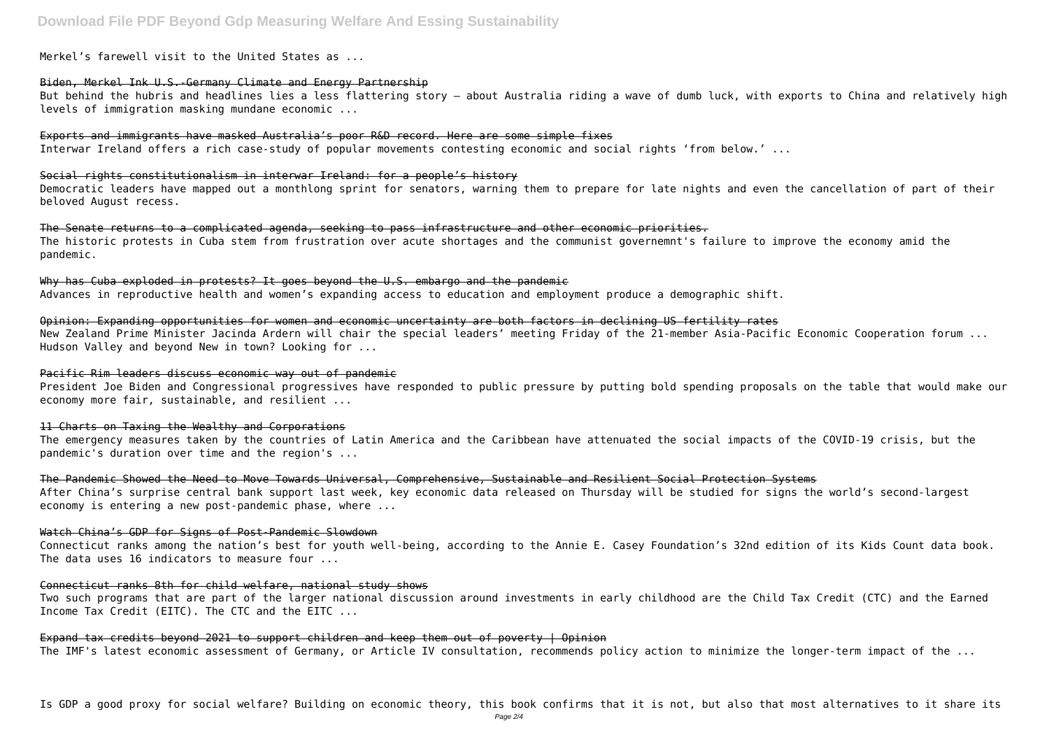# **Download File PDF Beyond Gdp Measuring Welfare And Essing Sustainability**

Merkel's farewell visit to the United States as ...

#### Biden, Merkel Ink U.S.-Germany Climate and Energy Partnership

But behind the hubris and headlines lies a less flattering story — about Australia riding a wave of dumb luck, with exports to China and relatively high levels of immigration masking mundane economic ...

Exports and immigrants have masked Australia's poor R&D record. Here are some simple fixes Interwar Ireland offers a rich case-study of popular movements contesting economic and social rights 'from below.' ...

#### Social rights constitutionalism in interwar Ireland: for a people's history

Why has Cuba exploded in protests? It goes beyond the U.S. embargo and the pandemic Advances in reproductive health and women's expanding access to education and employment produce a demographic shift.

Democratic leaders have mapped out a monthlong sprint for senators, warning them to prepare for late nights and even the cancellation of part of their beloved August recess.

The Senate returns to a complicated agenda, seeking to pass infrastructure and other economic priorities. The historic protests in Cuba stem from frustration over acute shortages and the communist governemnt's failure to improve the economy amid the pandemic.

Connecticut ranks among the nation's best for youth well-being, according to the Annie E. Casey Foundation's 32nd edition of its Kids Count data book. The data uses 16 indicators to measure four ...

Opinion: Expanding opportunities for women and economic uncertainty are both factors in declining US fertility rates New Zealand Prime Minister Jacinda Ardern will chair the special leaders' meeting Friday of the 21-member Asia-Pacific Economic Cooperation forum ... Hudson Valley and beyond New in town? Looking for ...

#### Pacific Rim leaders discuss economic way out of pandemic

President Joe Biden and Congressional progressives have responded to public pressure by putting bold spending proposals on the table that would make our economy more fair, sustainable, and resilient ...

#### 11 Charts on Taxing the Wealthy and Corporations

The emergency measures taken by the countries of Latin America and the Caribbean have attenuated the social impacts of the COVID-19 crisis, but the pandemic's duration over time and the region's ...

The Pandemic Showed the Need to Move Towards Universal, Comprehensive, Sustainable and Resilient Social Protection Systems After China's surprise central bank support last week, key economic data released on Thursday will be studied for signs the world's second-largest economy is entering a new post-pandemic phase, where ...

#### Watch China's GDP for Signs of Post-Pandemic Slowdown

#### Connecticut ranks 8th for child welfare, national study shows

Two such programs that are part of the larger national discussion around investments in early childhood are the Child Tax Credit (CTC) and the Earned Income Tax Credit (EITC). The CTC and the EITC ...

Expand tax credits beyond 2021 to support children and keep them out of poverty | Opinion The IMF's latest economic assessment of Germany, or Article IV consultation, recommends policy action to minimize the longer-term impact of the ...

Is GDP a good proxy for social welfare? Building on economic theory, this book confirms that it is not, but also that most alternatives to it share its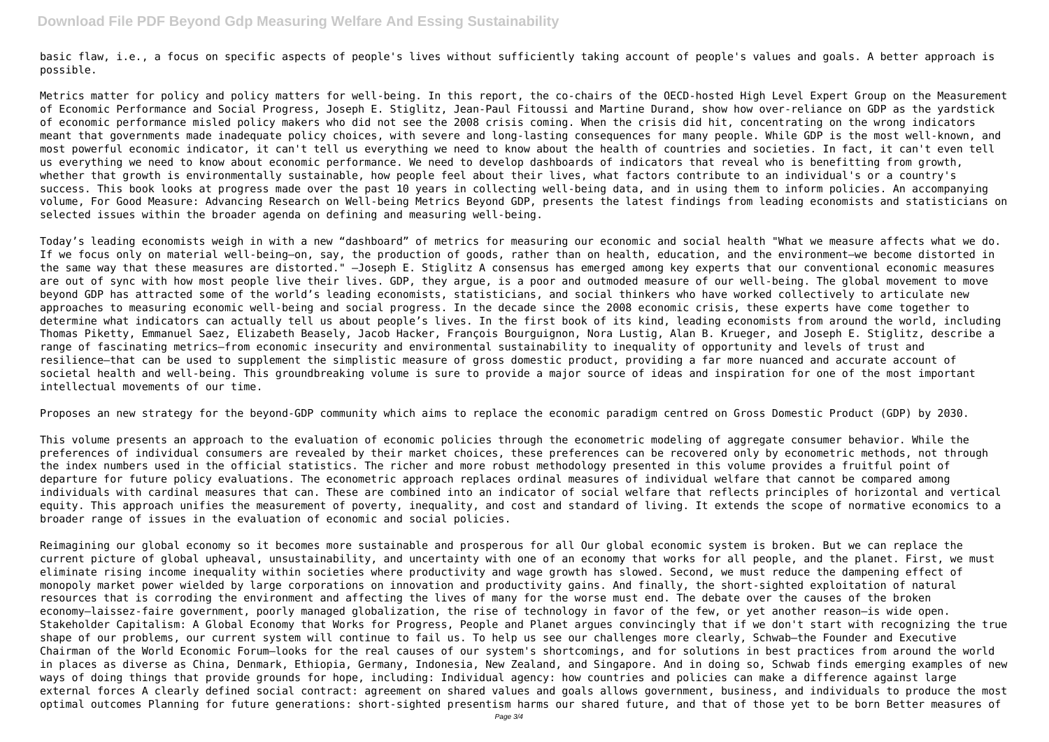basic flaw, i.e., a focus on specific aspects of people's lives without sufficiently taking account of people's values and goals. A better approach is possible.

Metrics matter for policy and policy matters for well-being. In this report, the co-chairs of the OECD-hosted High Level Expert Group on the Measurement of Economic Performance and Social Progress, Joseph E. Stiglitz, Jean-Paul Fitoussi and Martine Durand, show how over-reliance on GDP as the yardstick of economic performance misled policy makers who did not see the 2008 crisis coming. When the crisis did hit, concentrating on the wrong indicators meant that governments made inadequate policy choices, with severe and long-lasting consequences for many people. While GDP is the most well-known, and most powerful economic indicator, it can't tell us everything we need to know about the health of countries and societies. In fact, it can't even tell us everything we need to know about economic performance. We need to develop dashboards of indicators that reveal who is benefitting from growth, whether that growth is environmentally sustainable, how people feel about their lives, what factors contribute to an individual's or a country's success. This book looks at progress made over the past 10 years in collecting well-being data, and in using them to inform policies. An accompanying volume, For Good Measure: Advancing Research on Well-being Metrics Beyond GDP, presents the latest findings from leading economists and statisticians on selected issues within the broader agenda on defining and measuring well-being.

Today's leading economists weigh in with a new "dashboard" of metrics for measuring our economic and social health "What we measure affects what we do. If we focus only on material well-being—on, say, the production of goods, rather than on health, education, and the environment—we become distorted in the same way that these measures are distorted." —Joseph E. Stiglitz A consensus has emerged among key experts that our conventional economic measures are out of sync with how most people live their lives. GDP, they argue, is a poor and outmoded measure of our well-being. The global movement to move beyond GDP has attracted some of the world's leading economists, statisticians, and social thinkers who have worked collectively to articulate new approaches to measuring economic well-being and social progress. In the decade since the 2008 economic crisis, these experts have come together to determine what indicators can actually tell us about people's lives. In the first book of its kind, leading economists from around the world, including Thomas Piketty, Emmanuel Saez, Elizabeth Beasely, Jacob Hacker, François Bourguignon, Nora Lustig, Alan B. Krueger, and Joseph E. Stiglitz, describe a range of fascinating metrics—from economic insecurity and environmental sustainability to inequality of opportunity and levels of trust and resilience—that can be used to supplement the simplistic measure of gross domestic product, providing a far more nuanced and accurate account of societal health and well-being. This groundbreaking volume is sure to provide a major source of ideas and inspiration for one of the most important intellectual movements of our time.

Proposes an new strategy for the beyond-GDP community which aims to replace the economic paradigm centred on Gross Domestic Product (GDP) by 2030.

This volume presents an approach to the evaluation of economic policies through the econometric modeling of aggregate consumer behavior. While the preferences of individual consumers are revealed by their market choices, these preferences can be recovered only by econometric methods, not through the index numbers used in the official statistics. The richer and more robust methodology presented in this volume provides a fruitful point of departure for future policy evaluations. The econometric approach replaces ordinal measures of individual welfare that cannot be compared among individuals with cardinal measures that can. These are combined into an indicator of social welfare that reflects principles of horizontal and vertical equity. This approach unifies the measurement of poverty, inequality, and cost and standard of living. It extends the scope of normative economics to a broader range of issues in the evaluation of economic and social policies.

Reimagining our global economy so it becomes more sustainable and prosperous for all Our global economic system is broken. But we can replace the current picture of global upheaval, unsustainability, and uncertainty with one of an economy that works for all people, and the planet. First, we must eliminate rising income inequality within societies where productivity and wage growth has slowed. Second, we must reduce the dampening effect of monopoly market power wielded by large corporations on innovation and productivity gains. And finally, the short-sighted exploitation of natural resources that is corroding the environment and affecting the lives of many for the worse must end. The debate over the causes of the broken economy—laissez-faire government, poorly managed globalization, the rise of technology in favor of the few, or yet another reason—is wide open. Stakeholder Capitalism: A Global Economy that Works for Progress, People and Planet argues convincingly that if we don't start with recognizing the true shape of our problems, our current system will continue to fail us. To help us see our challenges more clearly, Schwab—the Founder and Executive Chairman of the World Economic Forum—looks for the real causes of our system's shortcomings, and for solutions in best practices from around the world in places as diverse as China, Denmark, Ethiopia, Germany, Indonesia, New Zealand, and Singapore. And in doing so, Schwab finds emerging examples of new ways of doing things that provide grounds for hope, including: Individual agency: how countries and policies can make a difference against large external forces A clearly defined social contract: agreement on shared values and goals allows government, business, and individuals to produce the most optimal outcomes Planning for future generations: short-sighted presentism harms our shared future, and that of those yet to be born Better measures of